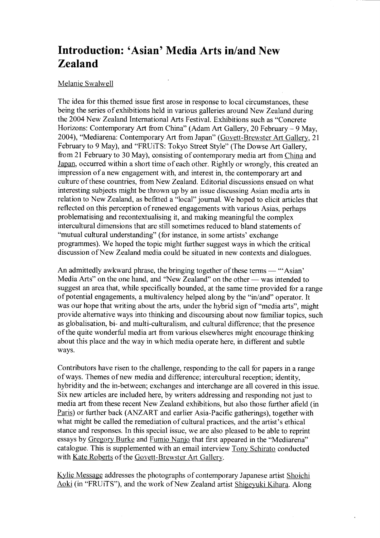## Introduction: 'Asian' Media Arts in/and New Zealand

## Melanie Swalwell

The idea for this themed issue first arose in response to local circumstances, these being the series of exhibitions held in various galleries around New Zealand during the2004 New Zealand International Arts Festival. Exhibitions such as "Concrete Horizons: Contemporary Art from China" (Adam Art Gallery, 20 February - 9 May, 2004), "Mediarena: Contemporary Art from Japan" (Govett-Brewster Art Gallery, 21 February to 9 May), and "FRUiTS: Tokyo Street Style" (The Dowse Art Gallery, from 21 February to 30 May), consisting of contemporary media art from China and Japan, occurred within a short time of each other. Rightly or wrongly, this created an impression of a new engagement with, and interest in, the contemporary art and culture of these countries, from New Zealand. Editorial discussions ensued on what interesting subjects might be thrown up by an issue discussing Asian media arts in relation to New Zealand, as befitted a "local" journal. We hoped to elicit articles that reflected on this perception of renewed engagements with various Asias, perhaps problematising and recontextualising it, and making meaningful the complex intercultural dimensions that are still sometimes reduced to bland statements of "mutual cultural understanding" (for instance, in some artists' exchange programmes). We hoped the topic might further suggest ways in which the critical discussion of New Zealand media could be situated in new contexts and dialogues.

An admittedly awkward phrase, the bringing together of these terms  $-$  "Asian" Media Arts" on the one hand, and "New Zealand" on the other — was intended to suggest an area that, while specifically bounded, at the same time provided for a range of potential engagements, a multivalency helped along by the "in/and" operator. It was our hope that writing about the arts, under the hybrid sign of "media arts", might provide alternative ways into thinking and discoursing about now familiar topics, such as globalisation, bi- and multi-culturalism, and cultural difference; that the presence of the quite wonderful media art from various elsewheres might encourage thinking about this place and the way in which media operate here, in different and subtle ways.

Contributors have risen to the challenge, responding to the call for papers in a range of ways. Themes of new media and difference; intercultural reception; identity, hybridity and the in-between; exchanges and interchange are all covered in this issue. Six new articles are included here, by writers addressing and responding not just to media art from these recent New Zealand exhibitions, but also those further afield (in Paris) or further back (ANZART and earlier Asia-Pacific gatherings), together with what might be called the remediation of cultural practices, and the artist's ethical stance and responses. In this special issue, we are also pleased to be able to reprint essays by Gregory Burke and Fumio Nanjo that first appeared in the "Mediarena" catalogue. This is supplemented with an email interview Tony Schirato conducted with Kate Roberts of the Govett-Brewster Art Gallery.

Kylie Message addresses the photographs of contemporary Japanese artist Shoichi Aoki (in "FRUiTS"), and the work of New Zealand artist Shigeyuki Kihara. Along